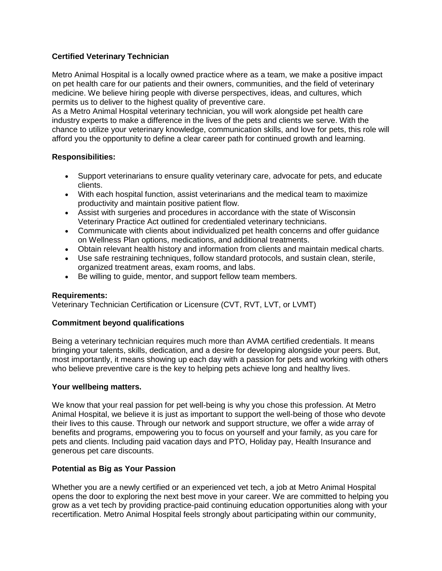# **Certified Veterinary Technician**

Metro Animal Hospital is a locally owned practice where as a team, we make a positive impact on pet health care for our patients and their owners, communities, and the field of veterinary medicine. We believe hiring people with diverse perspectives, ideas, and cultures, which permits us to deliver to the highest quality of preventive care.

As a Metro Animal Hospital veterinary technician, you will work alongside pet health care industry experts to make a difference in the lives of the pets and clients we serve. With the chance to utilize your veterinary knowledge, communication skills, and love for pets, this role will afford you the opportunity to define a clear career path for continued growth and learning.

### **Responsibilities:**

- Support veterinarians to ensure quality veterinary care, advocate for pets, and educate clients.
- With each hospital function, assist veterinarians and the medical team to maximize productivity and maintain positive patient flow.
- Assist with surgeries and procedures in accordance with the state of Wisconsin Veterinary Practice Act outlined for credentialed veterinary technicians.
- Communicate with clients about individualized pet health concerns and offer guidance on Wellness Plan options, medications, and additional treatments.
- Obtain relevant health history and information from clients and maintain medical charts.
- Use safe restraining techniques, follow standard protocols, and sustain clean, sterile, organized treatment areas, exam rooms, and labs.
- Be willing to guide, mentor, and support fellow team members.

### **Requirements:**

Veterinary Technician Certification or Licensure (CVT, RVT, LVT, or LVMT)

### **Commitment beyond qualifications**

Being a veterinary technician requires much more than AVMA certified credentials. It means bringing your talents, skills, dedication, and a desire for developing alongside your peers. But, most importantly, it means showing up each day with a passion for pets and working with others who believe preventive care is the key to helping pets achieve long and healthy lives.

### **Your wellbeing matters.**

We know that your real passion for pet well-being is why you chose this profession. At Metro Animal Hospital, we believe it is just as important to support the well-being of those who devote their lives to this cause. Through our network and support structure, we offer a wide array of benefits and programs, empowering you to focus on yourself and your family, as you care for pets and clients. Including paid vacation days and PTO, Holiday pay, Health Insurance and generous pet care discounts.

# **Potential as Big as Your Passion**

Whether you are a newly certified or an experienced vet tech, a job at Metro Animal Hospital opens the door to exploring the next best move in your career. We are committed to helping you grow as a vet tech by providing practice-paid continuing education opportunities along with your recertification. Metro Animal Hospital feels strongly about participating within our community,